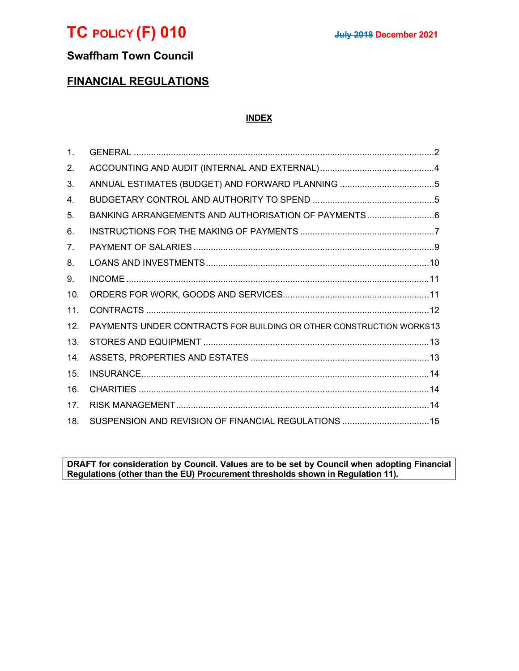

# Swaffham Town Council

# FINANCIAL REGULATIONS

# INDEX

| $\mathbf{1}$ . |                                                                     |
|----------------|---------------------------------------------------------------------|
| 2.             |                                                                     |
| 3.             |                                                                     |
| 4.             |                                                                     |
| 5.             | BANKING ARRANGEMENTS AND AUTHORISATION OF PAYMENTS6                 |
| 6.             |                                                                     |
| 7 <sub>1</sub> |                                                                     |
| 8.             |                                                                     |
| 9.             |                                                                     |
| 10.            |                                                                     |
| 11.            |                                                                     |
| 12.            | PAYMENTS UNDER CONTRACTS FOR BUILDING OR OTHER CONSTRUCTION WORKS13 |
| 13.            |                                                                     |
| 14.            |                                                                     |
| 15.            |                                                                     |
| 16.            |                                                                     |
| 17.            |                                                                     |
| 18.            | SUSPENSION AND REVISION OF FINANCIAL REGULATIONS 15                 |

DRAFT for consideration by Council. Values are to be set by Council when adopting Financial Regulations (other than the EU) Procurement thresholds shown in Regulation 11).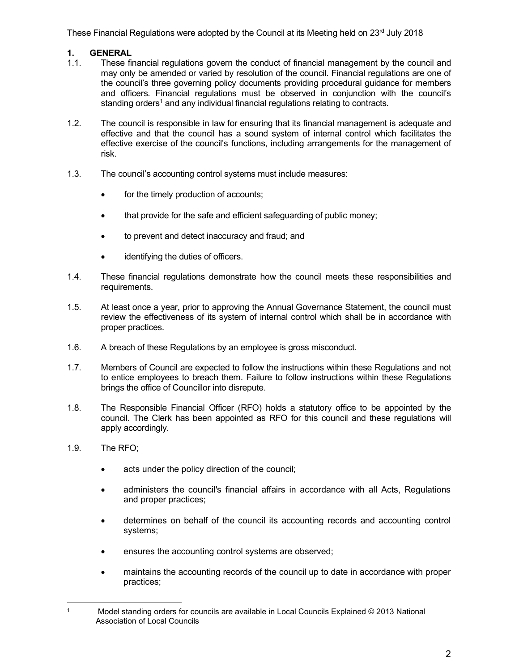These Financial Regulations were adopted by the Council at its Meeting held on  $23<sup>rd</sup>$  July 2018

# 1. GENERAL

- 1.1. These financial regulations govern the conduct of financial management by the council and may only be amended or varied by resolution of the council. Financial regulations are one of the council's three governing policy documents providing procedural guidance for members and officers. Financial regulations must be observed in conjunction with the council's standing orders<sup>1</sup> and any individual financial regulations relating to contracts.
- 1.2. The council is responsible in law for ensuring that its financial management is adequate and effective and that the council has a sound system of internal control which facilitates the effective exercise of the council's functions, including arrangements for the management of risk.
- 1.3. The council's accounting control systems must include measures:
	- for the timely production of accounts;
	- that provide for the safe and efficient safeguarding of public money;
	- to prevent and detect inaccuracy and fraud; and
	- identifying the duties of officers.
- 1.4. These financial regulations demonstrate how the council meets these responsibilities and requirements.
- 1.5. At least once a year, prior to approving the Annual Governance Statement, the council must review the effectiveness of its system of internal control which shall be in accordance with proper practices.
- 1.6. A breach of these Regulations by an employee is gross misconduct.
- 1.7. Members of Council are expected to follow the instructions within these Regulations and not to entice employees to breach them. Failure to follow instructions within these Regulations brings the office of Councillor into disrepute.
- 1.8. The Responsible Financial Officer (RFO) holds a statutory office to be appointed by the council. The Clerk has been appointed as RFO for this council and these regulations will apply accordingly.
- 1.9. The RFO;
	- acts under the policy direction of the council;
	- administers the council's financial affairs in accordance with all Acts, Regulations and proper practices;
	- determines on behalf of the council its accounting records and accounting control systems;
	- ensures the accounting control systems are observed;
	- maintains the accounting records of the council up to date in accordance with proper practices;

<sup>1</sup> Model standing orders for councils are available in Local Councils Explained © 2013 National Association of Local Councils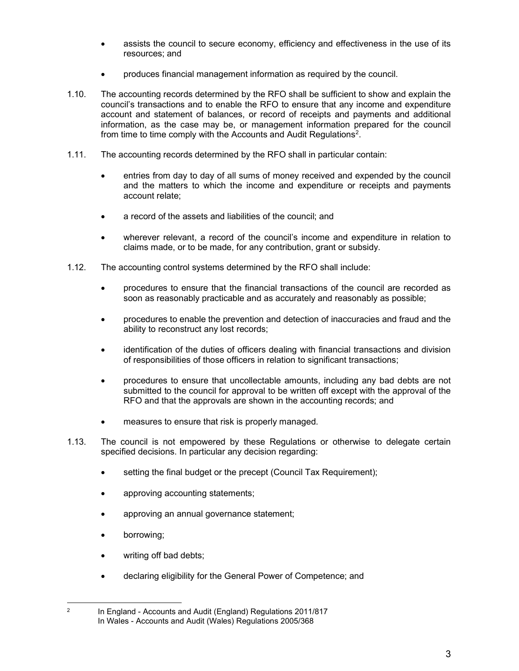- assists the council to secure economy, efficiency and effectiveness in the use of its resources; and
- produces financial management information as required by the council.
- 1.10. The accounting records determined by the RFO shall be sufficient to show and explain the council's transactions and to enable the RFO to ensure that any income and expenditure account and statement of balances, or record of receipts and payments and additional information, as the case may be, or management information prepared for the council from time to time comply with the Accounts and Audit Regulations<sup>2</sup>.
- 1.11. The accounting records determined by the RFO shall in particular contain:
	- entries from day to day of all sums of money received and expended by the council and the matters to which the income and expenditure or receipts and payments account relate;
	- a record of the assets and liabilities of the council; and
	- wherever relevant, a record of the council's income and expenditure in relation to claims made, or to be made, for any contribution, grant or subsidy.
- 1.12. The accounting control systems determined by the RFO shall include:
	- procedures to ensure that the financial transactions of the council are recorded as soon as reasonably practicable and as accurately and reasonably as possible;
	- procedures to enable the prevention and detection of inaccuracies and fraud and the ability to reconstruct any lost records;
	- identification of the duties of officers dealing with financial transactions and division of responsibilities of those officers in relation to significant transactions;
	- procedures to ensure that uncollectable amounts, including any bad debts are not submitted to the council for approval to be written off except with the approval of the RFO and that the approvals are shown in the accounting records; and
	- measures to ensure that risk is properly managed.
- 1.13. The council is not empowered by these Regulations or otherwise to delegate certain specified decisions. In particular any decision regarding:
	- setting the final budget or the precept (Council Tax Requirement);
	- approving accounting statements;
	- approving an annual governance statement;
	- borrowing;
	- writing off bad debts;
	- declaring eligibility for the General Power of Competence; and

 $\mathfrak{p}$  In England - Accounts and Audit (England) Regulations 2011/817 In Wales - Accounts and Audit (Wales) Regulations 2005/368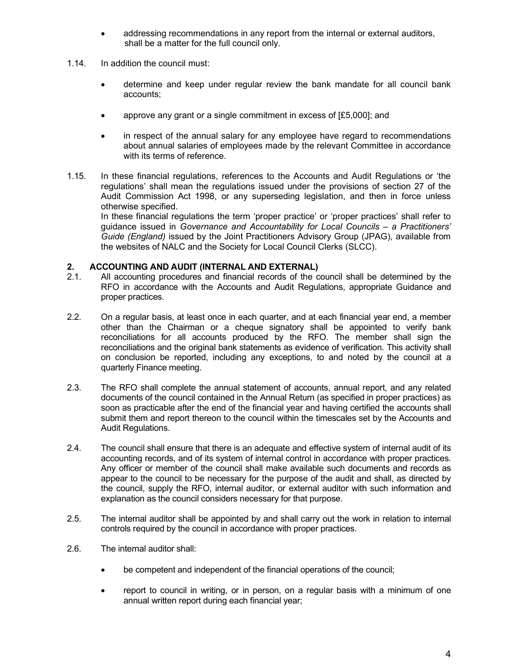- addressing recommendations in any report from the internal or external auditors, shall be a matter for the full council only.
- 1.14. In addition the council must:
	- determine and keep under regular review the bank mandate for all council bank accounts;
	- approve any grant or a single commitment in excess of [£5,000]; and
	- in respect of the annual salary for any employee have regard to recommendations about annual salaries of employees made by the relevant Committee in accordance with its terms of reference.
- 1.15. In these financial regulations, references to the Accounts and Audit Regulations or 'the regulations' shall mean the regulations issued under the provisions of section 27 of the Audit Commission Act 1998, or any superseding legislation, and then in force unless otherwise specified.

In these financial regulations the term 'proper practice' or 'proper practices' shall refer to guidance issued in Governance and Accountability for Local Councils – a Practitioners' Guide (England) issued by the Joint Practitioners Advisory Group (JPAG), available from the websites of NALC and the Society for Local Council Clerks (SLCC).

# 2. **ACCOUNTING AND AUDIT (INTERNAL AND EXTERNAL)**<br>2.1. All accounting procedures and financial records of the c

- 2.1. All accounting procedures and financial records of the council shall be determined by the RFO in accordance with the Accounts and Audit Regulations, appropriate Guidance and proper practices.
- 2.2. On a regular basis, at least once in each quarter, and at each financial year end, a member other than the Chairman or a cheque signatory shall be appointed to verify bank reconciliations for all accounts produced by the RFO. The member shall sign the reconciliations and the original bank statements as evidence of verification. This activity shall on conclusion be reported, including any exceptions, to and noted by the council at a quarterly Finance meeting.
- 2.3. The RFO shall complete the annual statement of accounts, annual report, and any related documents of the council contained in the Annual Return (as specified in proper practices) as soon as practicable after the end of the financial year and having certified the accounts shall submit them and report thereon to the council within the timescales set by the Accounts and Audit Regulations.
- 2.4. The council shall ensure that there is an adequate and effective system of internal audit of its accounting records, and of its system of internal control in accordance with proper practices. Any officer or member of the council shall make available such documents and records as appear to the council to be necessary for the purpose of the audit and shall, as directed by the council, supply the RFO, internal auditor, or external auditor with such information and explanation as the council considers necessary for that purpose.
- 2.5. The internal auditor shall be appointed by and shall carry out the work in relation to internal controls required by the council in accordance with proper practices.
- 2.6. The internal auditor shall:
	- be competent and independent of the financial operations of the council;
	- report to council in writing, or in person, on a regular basis with a minimum of one annual written report during each financial year;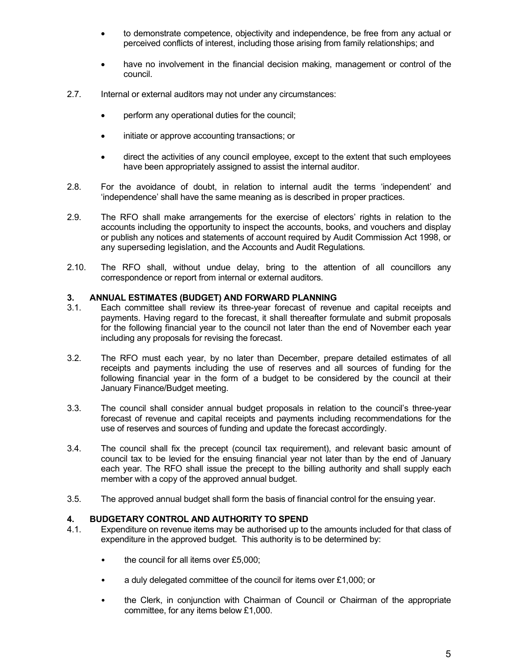- to demonstrate competence, objectivity and independence, be free from any actual or perceived conflicts of interest, including those arising from family relationships; and
- have no involvement in the financial decision making, management or control of the council.
- 2.7. Internal or external auditors may not under any circumstances:
	- perform any operational duties for the council;
	- initiate or approve accounting transactions; or
	- direct the activities of any council employee, except to the extent that such employees have been appropriately assigned to assist the internal auditor.
- 2.8. For the avoidance of doubt, in relation to internal audit the terms 'independent' and 'independence' shall have the same meaning as is described in proper practices.
- 2.9. The RFO shall make arrangements for the exercise of electors' rights in relation to the accounts including the opportunity to inspect the accounts, books, and vouchers and display or publish any notices and statements of account required by Audit Commission Act 1998, or any superseding legislation, and the Accounts and Audit Regulations.
- 2.10. The RFO shall, without undue delay, bring to the attention of all councillors any correspondence or report from internal or external auditors.

#### 3. ANNUAL ESTIMATES (BUDGET) AND FORWARD PLANNING

- 3.1. Each committee shall review its three-year forecast of revenue and capital receipts and payments. Having regard to the forecast, it shall thereafter formulate and submit proposals for the following financial year to the council not later than the end of November each year including any proposals for revising the forecast.
- 3.2. The RFO must each year, by no later than December, prepare detailed estimates of all receipts and payments including the use of reserves and all sources of funding for the following financial year in the form of a budget to be considered by the council at their January Finance/Budget meeting.
- 3.3. The council shall consider annual budget proposals in relation to the council's three-year forecast of revenue and capital receipts and payments including recommendations for the use of reserves and sources of funding and update the forecast accordingly.
- 3.4. The council shall fix the precept (council tax requirement), and relevant basic amount of council tax to be levied for the ensuing financial year not later than by the end of January each year. The RFO shall issue the precept to the billing authority and shall supply each member with a copy of the approved annual budget.
- 3.5. The approved annual budget shall form the basis of financial control for the ensuing year.

## 4. BUDGETARY CONTROL AND AUTHORITY TO SPEND

- 4.1. Expenditure on revenue items may be authorised up to the amounts included for that class of expenditure in the approved budget. This authority is to be determined by:
	- the council for all items over £5,000;
	- a duly delegated committee of the council for items over £1,000; or
	- the Clerk, in conjunction with Chairman of Council or Chairman of the appropriate committee, for any items below £1,000.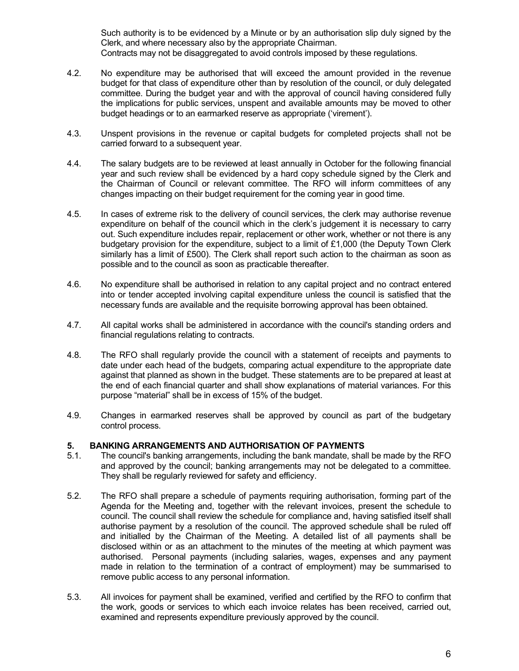Such authority is to be evidenced by a Minute or by an authorisation slip duly signed by the Clerk, and where necessary also by the appropriate Chairman. Contracts may not be disaggregated to avoid controls imposed by these regulations.

- 4.2. No expenditure may be authorised that will exceed the amount provided in the revenue budget for that class of expenditure other than by resolution of the council, or duly delegated committee. During the budget year and with the approval of council having considered fully the implications for public services, unspent and available amounts may be moved to other budget headings or to an earmarked reserve as appropriate ('virement').
- 4.3. Unspent provisions in the revenue or capital budgets for completed projects shall not be carried forward to a subsequent year.
- 4.4. The salary budgets are to be reviewed at least annually in October for the following financial year and such review shall be evidenced by a hard copy schedule signed by the Clerk and the Chairman of Council or relevant committee. The RFO will inform committees of any changes impacting on their budget requirement for the coming year in good time.
- 4.5. In cases of extreme risk to the delivery of council services, the clerk may authorise revenue expenditure on behalf of the council which in the clerk's judgement it is necessary to carry out. Such expenditure includes repair, replacement or other work, whether or not there is any budgetary provision for the expenditure, subject to a limit of £1,000 (the Deputy Town Clerk similarly has a limit of £500). The Clerk shall report such action to the chairman as soon as possible and to the council as soon as practicable thereafter.
- 4.6. No expenditure shall be authorised in relation to any capital project and no contract entered into or tender accepted involving capital expenditure unless the council is satisfied that the necessary funds are available and the requisite borrowing approval has been obtained.
- 4.7. All capital works shall be administered in accordance with the council's standing orders and financial regulations relating to contracts.
- 4.8. The RFO shall regularly provide the council with a statement of receipts and payments to date under each head of the budgets, comparing actual expenditure to the appropriate date against that planned as shown in the budget. These statements are to be prepared at least at the end of each financial quarter and shall show explanations of material variances. For this purpose "material" shall be in excess of 15% of the budget.
- 4.9. Changes in earmarked reserves shall be approved by council as part of the budgetary control process.

#### 5. BANKING ARRANGEMENTS AND AUTHORISATION OF PAYMENTS

- 5.1. The council's banking arrangements, including the bank mandate, shall be made by the RFO and approved by the council; banking arrangements may not be delegated to a committee. They shall be regularly reviewed for safety and efficiency.
- 5.2. The RFO shall prepare a schedule of payments requiring authorisation, forming part of the Agenda for the Meeting and, together with the relevant invoices, present the schedule to council. The council shall review the schedule for compliance and, having satisfied itself shall authorise payment by a resolution of the council. The approved schedule shall be ruled off and initialled by the Chairman of the Meeting. A detailed list of all payments shall be disclosed within or as an attachment to the minutes of the meeting at which payment was authorised. Personal payments (including salaries, wages, expenses and any payment made in relation to the termination of a contract of employment) may be summarised to remove public access to any personal information.
- 5.3. All invoices for payment shall be examined, verified and certified by the RFO to confirm that the work, goods or services to which each invoice relates has been received, carried out, examined and represents expenditure previously approved by the council.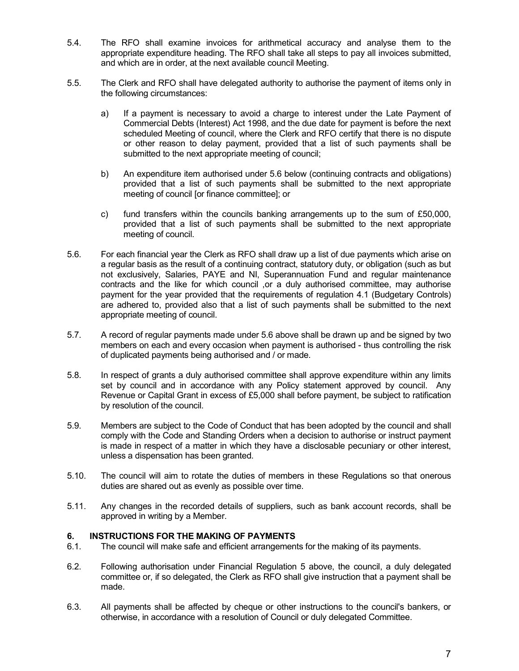- 5.4. The RFO shall examine invoices for arithmetical accuracy and analyse them to the appropriate expenditure heading. The RFO shall take all steps to pay all invoices submitted, and which are in order, at the next available council Meeting.
- 5.5. The Clerk and RFO shall have delegated authority to authorise the payment of items only in the following circumstances:
	- a) If a payment is necessary to avoid a charge to interest under the Late Payment of Commercial Debts (Interest) Act 1998, and the due date for payment is before the next scheduled Meeting of council, where the Clerk and RFO certify that there is no dispute or other reason to delay payment, provided that a list of such payments shall be submitted to the next appropriate meeting of council;
	- b) An expenditure item authorised under 5.6 below (continuing contracts and obligations) provided that a list of such payments shall be submitted to the next appropriate meeting of council [or finance committee]; or
	- c) fund transfers within the councils banking arrangements up to the sum of £50,000, provided that a list of such payments shall be submitted to the next appropriate meeting of council.
- 5.6. For each financial year the Clerk as RFO shall draw up a list of due payments which arise on a regular basis as the result of a continuing contract, statutory duty, or obligation (such as but not exclusively, Salaries, PAYE and NI, Superannuation Fund and regular maintenance contracts and the like for which council ,or a duly authorised committee, may authorise payment for the year provided that the requirements of regulation 4.1 (Budgetary Controls) are adhered to, provided also that a list of such payments shall be submitted to the next appropriate meeting of council.
- 5.7. A record of regular payments made under 5.6 above shall be drawn up and be signed by two members on each and every occasion when payment is authorised - thus controlling the risk of duplicated payments being authorised and / or made.
- 5.8. In respect of grants a duly authorised committee shall approve expenditure within any limits set by council and in accordance with any Policy statement approved by council. Any Revenue or Capital Grant in excess of £5,000 shall before payment, be subject to ratification by resolution of the council.
- 5.9. Members are subject to the Code of Conduct that has been adopted by the council and shall comply with the Code and Standing Orders when a decision to authorise or instruct payment is made in respect of a matter in which they have a disclosable pecuniary or other interest, unless a dispensation has been granted.
- 5.10. The council will aim to rotate the duties of members in these Regulations so that onerous duties are shared out as evenly as possible over time.
- 5.11. Any changes in the recorded details of suppliers, such as bank account records, shall be approved in writing by a Member.

## 6. INSTRUCTIONS FOR THE MAKING OF PAYMENTS

- 6.1. The council will make safe and efficient arrangements for the making of its payments.
- 6.2. Following authorisation under Financial Regulation 5 above, the council, a duly delegated committee or, if so delegated, the Clerk as RFO shall give instruction that a payment shall be made.
- 6.3. All payments shall be affected by cheque or other instructions to the council's bankers, or otherwise, in accordance with a resolution of Council or duly delegated Committee.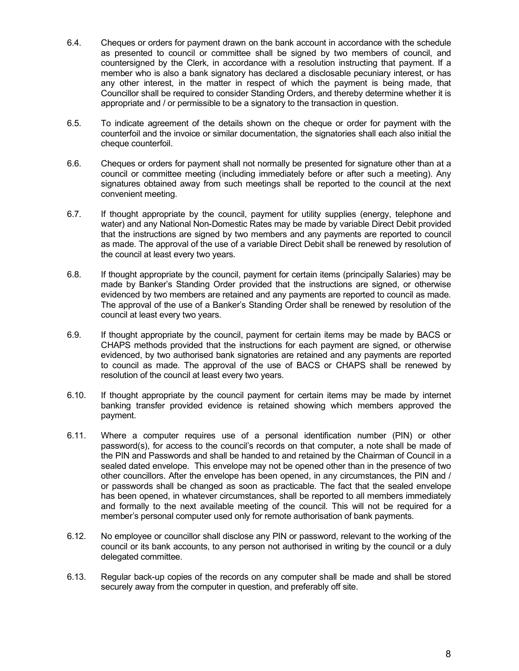- 6.4. Cheques or orders for payment drawn on the bank account in accordance with the schedule as presented to council or committee shall be signed by two members of council, and countersigned by the Clerk, in accordance with a resolution instructing that payment. If a member who is also a bank signatory has declared a disclosable pecuniary interest, or has any other interest, in the matter in respect of which the payment is being made, that Councillor shall be required to consider Standing Orders, and thereby determine whether it is appropriate and / or permissible to be a signatory to the transaction in question.
- 6.5. To indicate agreement of the details shown on the cheque or order for payment with the counterfoil and the invoice or similar documentation, the signatories shall each also initial the cheque counterfoil.
- 6.6. Cheques or orders for payment shall not normally be presented for signature other than at a council or committee meeting (including immediately before or after such a meeting). Any signatures obtained away from such meetings shall be reported to the council at the next convenient meeting.
- 6.7. If thought appropriate by the council, payment for utility supplies (energy, telephone and water) and any National Non-Domestic Rates may be made by variable Direct Debit provided that the instructions are signed by two members and any payments are reported to council as made. The approval of the use of a variable Direct Debit shall be renewed by resolution of the council at least every two years.
- 6.8. If thought appropriate by the council, payment for certain items (principally Salaries) may be made by Banker's Standing Order provided that the instructions are signed, or otherwise evidenced by two members are retained and any payments are reported to council as made. The approval of the use of a Banker's Standing Order shall be renewed by resolution of the council at least every two years.
- 6.9. If thought appropriate by the council, payment for certain items may be made by BACS or CHAPS methods provided that the instructions for each payment are signed, or otherwise evidenced, by two authorised bank signatories are retained and any payments are reported to council as made. The approval of the use of BACS or CHAPS shall be renewed by resolution of the council at least every two years.
- 6.10. If thought appropriate by the council payment for certain items may be made by internet banking transfer provided evidence is retained showing which members approved the payment.
- 6.11. Where a computer requires use of a personal identification number (PIN) or other password(s), for access to the council's records on that computer, a note shall be made of the PIN and Passwords and shall be handed to and retained by the Chairman of Council in a sealed dated envelope. This envelope may not be opened other than in the presence of two other councillors. After the envelope has been opened, in any circumstances, the PIN and / or passwords shall be changed as soon as practicable. The fact that the sealed envelope has been opened, in whatever circumstances, shall be reported to all members immediately and formally to the next available meeting of the council. This will not be required for a member's personal computer used only for remote authorisation of bank payments.
- 6.12. No employee or councillor shall disclose any PIN or password, relevant to the working of the council or its bank accounts, to any person not authorised in writing by the council or a duly delegated committee.
- 6.13. Regular back-up copies of the records on any computer shall be made and shall be stored securely away from the computer in question, and preferably off site.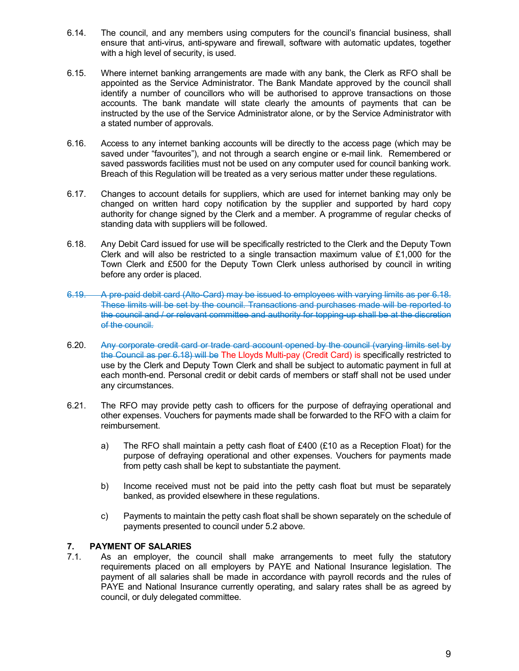- 6.14. The council, and any members using computers for the council's financial business, shall ensure that anti-virus, anti-spyware and firewall, software with automatic updates, together with a high level of security, is used.
- 6.15. Where internet banking arrangements are made with any bank, the Clerk as RFO shall be appointed as the Service Administrator. The Bank Mandate approved by the council shall identify a number of councillors who will be authorised to approve transactions on those accounts. The bank mandate will state clearly the amounts of payments that can be instructed by the use of the Service Administrator alone, or by the Service Administrator with a stated number of approvals.
- 6.16. Access to any internet banking accounts will be directly to the access page (which may be saved under "favourites"), and not through a search engine or e-mail link. Remembered or saved passwords facilities must not be used on any computer used for council banking work. Breach of this Regulation will be treated as a very serious matter under these regulations.
- 6.17. Changes to account details for suppliers, which are used for internet banking may only be changed on written hard copy notification by the supplier and supported by hard copy authority for change signed by the Clerk and a member. A programme of regular checks of standing data with suppliers will be followed.
- 6.18. Any Debit Card issued for use will be specifically restricted to the Clerk and the Deputy Town Clerk and will also be restricted to a single transaction maximum value of £1,000 for the Town Clerk and £500 for the Deputy Town Clerk unless authorised by council in writing before any order is placed.
- 6.19. A pre-paid debit card (Alto-Card) may be issued to employees with varying limits as per 6.18. These limits will be set by the council. Transactions and purchases made will be reported to the council and / or relevant committee and authority for topping-up shall be at the discretion of the council.
- 6.20. Any corporate credit card or trade card account opened by the council (varying limits set by the Council as per 6.18) will be The Lloyds Multi-pay (Credit Card) is specifically restricted to use by the Clerk and Deputy Town Clerk and shall be subject to automatic payment in full at each month-end. Personal credit or debit cards of members or staff shall not be used under any circumstances.
- 6.21. The RFO may provide petty cash to officers for the purpose of defraying operational and other expenses. Vouchers for payments made shall be forwarded to the RFO with a claim for reimbursement.
	- a) The RFO shall maintain a petty cash float of £400 (£10 as a Reception Float) for the purpose of defraying operational and other expenses. Vouchers for payments made from petty cash shall be kept to substantiate the payment.
	- b) Income received must not be paid into the petty cash float but must be separately banked, as provided elsewhere in these regulations.
	- c) Payments to maintain the petty cash float shall be shown separately on the schedule of payments presented to council under 5.2 above.

# 7. PAYMENT OF SALARIES

7.1. As an employer, the council shall make arrangements to meet fully the statutory requirements placed on all employers by PAYE and National Insurance legislation. The payment of all salaries shall be made in accordance with payroll records and the rules of PAYE and National Insurance currently operating, and salary rates shall be as agreed by council, or duly delegated committee.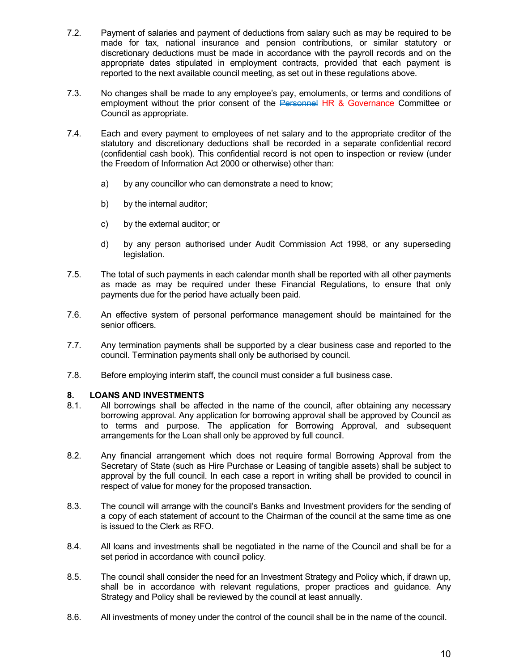- 7.2. Payment of salaries and payment of deductions from salary such as may be required to be made for tax, national insurance and pension contributions, or similar statutory or discretionary deductions must be made in accordance with the payroll records and on the appropriate dates stipulated in employment contracts, provided that each payment is reported to the next available council meeting, as set out in these regulations above.
- 7.3. No changes shall be made to any employee's pay, emoluments, or terms and conditions of employment without the prior consent of the Personnel HR & Governance Committee or Council as appropriate.
- 7.4. Each and every payment to employees of net salary and to the appropriate creditor of the statutory and discretionary deductions shall be recorded in a separate confidential record (confidential cash book). This confidential record is not open to inspection or review (under the Freedom of Information Act 2000 or otherwise) other than:
	- a) by any councillor who can demonstrate a need to know;
	- b) by the internal auditor;
	- c) by the external auditor; or
	- d) by any person authorised under Audit Commission Act 1998, or any superseding legislation.
- 7.5. The total of such payments in each calendar month shall be reported with all other payments as made as may be required under these Financial Regulations, to ensure that only payments due for the period have actually been paid.
- 7.6. An effective system of personal performance management should be maintained for the senior officers.
- 7.7. Any termination payments shall be supported by a clear business case and reported to the council. Termination payments shall only be authorised by council.
- 7.8. Before employing interim staff, the council must consider a full business case.

## 8. LOANS AND INVESTMENTS

- 8.1. All borrowings shall be affected in the name of the council, after obtaining any necessary borrowing approval. Any application for borrowing approval shall be approved by Council as to terms and purpose. The application for Borrowing Approval, and subsequent arrangements for the Loan shall only be approved by full council.
- 8.2. Any financial arrangement which does not require formal Borrowing Approval from the Secretary of State (such as Hire Purchase or Leasing of tangible assets) shall be subject to approval by the full council. In each case a report in writing shall be provided to council in respect of value for money for the proposed transaction.
- 8.3. The council will arrange with the council's Banks and Investment providers for the sending of a copy of each statement of account to the Chairman of the council at the same time as one is issued to the Clerk as RFO.
- 8.4. All loans and investments shall be negotiated in the name of the Council and shall be for a set period in accordance with council policy.
- 8.5. The council shall consider the need for an Investment Strategy and Policy which, if drawn up, shall be in accordance with relevant regulations, proper practices and guidance. Any Strategy and Policy shall be reviewed by the council at least annually.
- 8.6. All investments of money under the control of the council shall be in the name of the council.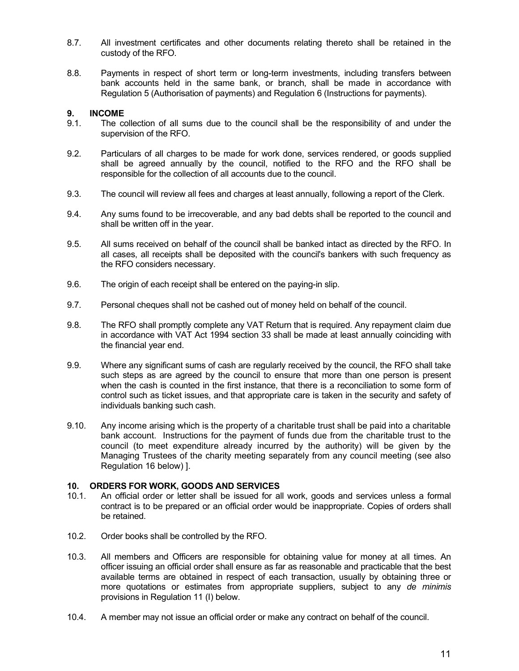- 8.7. All investment certificates and other documents relating thereto shall be retained in the custody of the RFO.
- 8.8. Payments in respect of short term or long-term investments, including transfers between bank accounts held in the same bank, or branch, shall be made in accordance with Regulation 5 (Authorisation of payments) and Regulation 6 (Instructions for payments).

#### 9. INCOME

- 9.1. The collection of all sums due to the council shall be the responsibility of and under the supervision of the RFO.
- 9.2. Particulars of all charges to be made for work done, services rendered, or goods supplied shall be agreed annually by the council, notified to the RFO and the RFO shall be responsible for the collection of all accounts due to the council.
- 9.3. The council will review all fees and charges at least annually, following a report of the Clerk.
- 9.4. Any sums found to be irrecoverable, and any bad debts shall be reported to the council and shall be written off in the year.
- 9.5. All sums received on behalf of the council shall be banked intact as directed by the RFO. In all cases, all receipts shall be deposited with the council's bankers with such frequency as the RFO considers necessary.
- 9.6. The origin of each receipt shall be entered on the paying-in slip.
- 9.7. Personal cheques shall not be cashed out of money held on behalf of the council.
- 9.8. The RFO shall promptly complete any VAT Return that is required. Any repayment claim due in accordance with VAT Act 1994 section 33 shall be made at least annually coinciding with the financial year end.
- 9.9. Where any significant sums of cash are regularly received by the council, the RFO shall take such steps as are agreed by the council to ensure that more than one person is present when the cash is counted in the first instance, that there is a reconciliation to some form of control such as ticket issues, and that appropriate care is taken in the security and safety of individuals banking such cash.
- 9.10. Any income arising which is the property of a charitable trust shall be paid into a charitable bank account. Instructions for the payment of funds due from the charitable trust to the council (to meet expenditure already incurred by the authority) will be given by the Managing Trustees of the charity meeting separately from any council meeting (see also Regulation 16 below) ].

## 10. ORDERS FOR WORK, GOODS AND SERVICES

- 10.1. An official order or letter shall be issued for all work, goods and services unless a formal contract is to be prepared or an official order would be inappropriate. Copies of orders shall be retained.
- 10.2. Order books shall be controlled by the RFO.
- 10.3. All members and Officers are responsible for obtaining value for money at all times. An officer issuing an official order shall ensure as far as reasonable and practicable that the best available terms are obtained in respect of each transaction, usually by obtaining three or more quotations or estimates from appropriate suppliers, subject to any de minimis provisions in Regulation 11 (I) below.
- 10.4. A member may not issue an official order or make any contract on behalf of the council.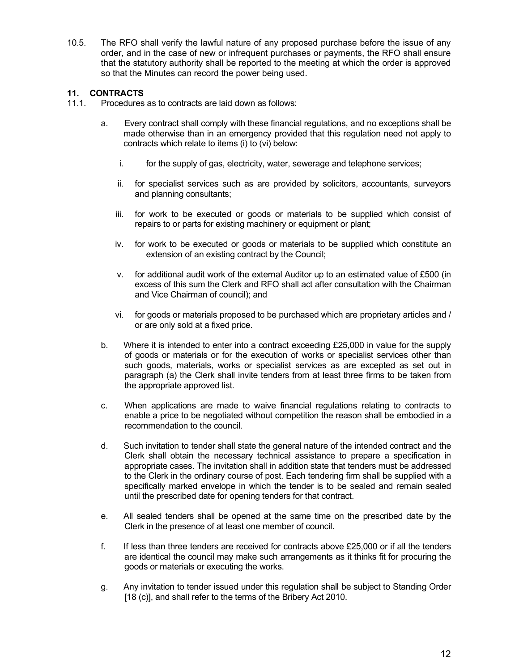10.5. The RFO shall verify the lawful nature of any proposed purchase before the issue of any order, and in the case of new or infrequent purchases or payments, the RFO shall ensure that the statutory authority shall be reported to the meeting at which the order is approved so that the Minutes can record the power being used.

# 11. CONTRACTS

- 11.1. Procedures as to contracts are laid down as follows:
	- a. Every contract shall comply with these financial regulations, and no exceptions shall be made otherwise than in an emergency provided that this regulation need not apply to contracts which relate to items (i) to (vi) below:
		- i. for the supply of gas, electricity, water, sewerage and telephone services;
		- ii. for specialist services such as are provided by solicitors, accountants, surveyors and planning consultants;
		- iii. for work to be executed or goods or materials to be supplied which consist of repairs to or parts for existing machinery or equipment or plant;
		- iv. for work to be executed or goods or materials to be supplied which constitute an extension of an existing contract by the Council;
		- v. for additional audit work of the external Auditor up to an estimated value of £500 (in excess of this sum the Clerk and RFO shall act after consultation with the Chairman and Vice Chairman of council); and
		- vi. for goods or materials proposed to be purchased which are proprietary articles and / or are only sold at a fixed price.
	- b. Where it is intended to enter into a contract exceeding £25,000 in value for the supply of goods or materials or for the execution of works or specialist services other than such goods, materials, works or specialist services as are excepted as set out in paragraph (a) the Clerk shall invite tenders from at least three firms to be taken from the appropriate approved list.
	- c. When applications are made to waive financial regulations relating to contracts to enable a price to be negotiated without competition the reason shall be embodied in a recommendation to the council.
	- d. Such invitation to tender shall state the general nature of the intended contract and the Clerk shall obtain the necessary technical assistance to prepare a specification in appropriate cases. The invitation shall in addition state that tenders must be addressed to the Clerk in the ordinary course of post. Each tendering firm shall be supplied with a specifically marked envelope in which the tender is to be sealed and remain sealed until the prescribed date for opening tenders for that contract.
	- e. All sealed tenders shall be opened at the same time on the prescribed date by the Clerk in the presence of at least one member of council.
	- f. If less than three tenders are received for contracts above £25,000 or if all the tenders are identical the council may make such arrangements as it thinks fit for procuring the goods or materials or executing the works.
	- g. Any invitation to tender issued under this regulation shall be subject to Standing Order [18 (c)], and shall refer to the terms of the Bribery Act 2010.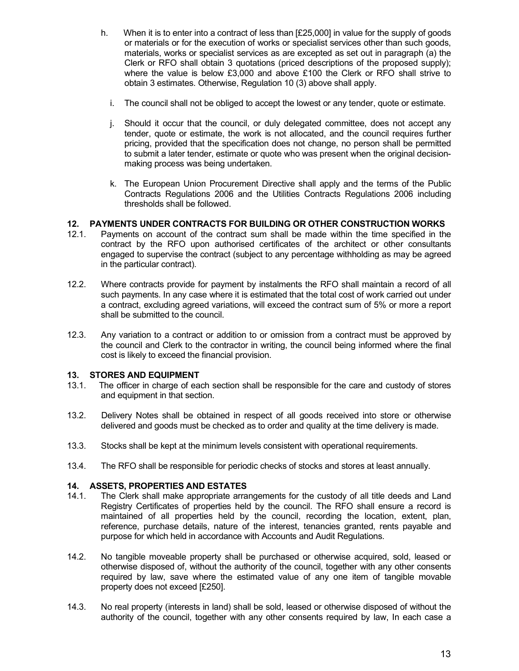- h. When it is to enter into a contract of less than [£25,000] in value for the supply of goods or materials or for the execution of works or specialist services other than such goods, materials, works or specialist services as are excepted as set out in paragraph (a) the Clerk or RFO shall obtain 3 quotations (priced descriptions of the proposed supply); where the value is below £3,000 and above £100 the Clerk or RFO shall strive to obtain 3 estimates. Otherwise, Regulation 10 (3) above shall apply.
	- i. The council shall not be obliged to accept the lowest or any tender, quote or estimate.
	- j. Should it occur that the council, or duly delegated committee, does not accept any tender, quote or estimate, the work is not allocated, and the council requires further pricing, provided that the specification does not change, no person shall be permitted to submit a later tender, estimate or quote who was present when the original decisionmaking process was being undertaken.
	- k. The European Union Procurement Directive shall apply and the terms of the Public Contracts Regulations 2006 and the Utilities Contracts Regulations 2006 including thresholds shall be followed.

#### 12. PAYMENTS UNDER CONTRACTS FOR BUILDING OR OTHER CONSTRUCTION WORKS

- 12.1. Payments on account of the contract sum shall be made within the time specified in the contract by the RFO upon authorised certificates of the architect or other consultants engaged to supervise the contract (subject to any percentage withholding as may be agreed in the particular contract).
- 12.2. Where contracts provide for payment by instalments the RFO shall maintain a record of all such payments. In any case where it is estimated that the total cost of work carried out under a contract, excluding agreed variations, will exceed the contract sum of 5% or more a report shall be submitted to the council.
- 12.3. Any variation to a contract or addition to or omission from a contract must be approved by the council and Clerk to the contractor in writing, the council being informed where the final cost is likely to exceed the financial provision.

## 13. STORES AND EQUIPMENT

- 13.1. The officer in charge of each section shall be responsible for the care and custody of stores and equipment in that section.
- 13.2. Delivery Notes shall be obtained in respect of all goods received into store or otherwise delivered and goods must be checked as to order and quality at the time delivery is made.
- 13.3. Stocks shall be kept at the minimum levels consistent with operational requirements.
- 13.4. The RFO shall be responsible for periodic checks of stocks and stores at least annually.

## 14. ASSETS, PROPERTIES AND ESTATES

- 14.1. The Clerk shall make appropriate arrangements for the custody of all title deeds and Land Registry Certificates of properties held by the council. The RFO shall ensure a record is maintained of all properties held by the council, recording the location, extent, plan, reference, purchase details, nature of the interest, tenancies granted, rents payable and purpose for which held in accordance with Accounts and Audit Regulations.
- 14.2. No tangible moveable property shall be purchased or otherwise acquired, sold, leased or otherwise disposed of, without the authority of the council, together with any other consents required by law, save where the estimated value of any one item of tangible movable property does not exceed [£250].
- 14.3. No real property (interests in land) shall be sold, leased or otherwise disposed of without the authority of the council, together with any other consents required by law, In each case a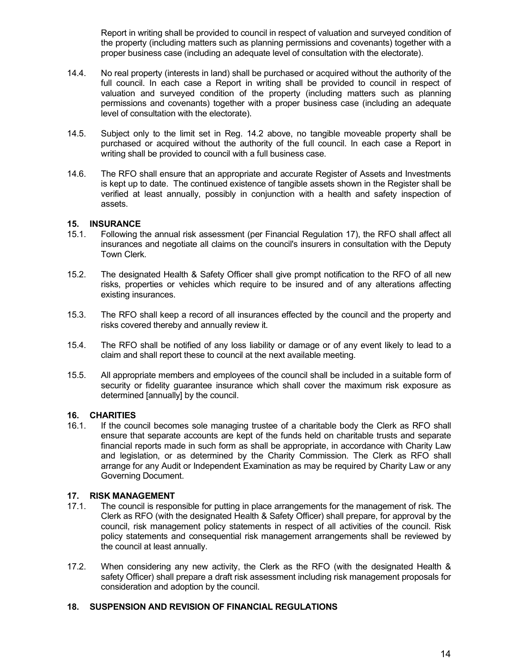Report in writing shall be provided to council in respect of valuation and surveyed condition of the property (including matters such as planning permissions and covenants) together with a proper business case (including an adequate level of consultation with the electorate).

- 14.4. No real property (interests in land) shall be purchased or acquired without the authority of the full council. In each case a Report in writing shall be provided to council in respect of valuation and surveyed condition of the property (including matters such as planning permissions and covenants) together with a proper business case (including an adequate level of consultation with the electorate).
- 14.5. Subject only to the limit set in Reg. 14.2 above, no tangible moveable property shall be purchased or acquired without the authority of the full council. In each case a Report in writing shall be provided to council with a full business case.
- 14.6. The RFO shall ensure that an appropriate and accurate Register of Assets and Investments is kept up to date. The continued existence of tangible assets shown in the Register shall be verified at least annually, possibly in conjunction with a health and safety inspection of assets.

#### 15. INSURANCE

- 15.1. Following the annual risk assessment (per Financial Regulation 17), the RFO shall affect all insurances and negotiate all claims on the council's insurers in consultation with the Deputy Town Clerk.
- 15.2. The designated Health & Safety Officer shall give prompt notification to the RFO of all new risks, properties or vehicles which require to be insured and of any alterations affecting existing insurances.
- 15.3. The RFO shall keep a record of all insurances effected by the council and the property and risks covered thereby and annually review it.
- 15.4. The RFO shall be notified of any loss liability or damage or of any event likely to lead to a claim and shall report these to council at the next available meeting.
- 15.5. All appropriate members and employees of the council shall be included in a suitable form of security or fidelity guarantee insurance which shall cover the maximum risk exposure as determined [annually] by the council.

## 16. CHARITIES

16.1. If the council becomes sole managing trustee of a charitable body the Clerk as RFO shall ensure that separate accounts are kept of the funds held on charitable trusts and separate financial reports made in such form as shall be appropriate, in accordance with Charity Law and legislation, or as determined by the Charity Commission. The Clerk as RFO shall arrange for any Audit or Independent Examination as may be required by Charity Law or any Governing Document.

## 17. RISK MANAGEMENT

- 17.1. The council is responsible for putting in place arrangements for the management of risk. The Clerk as RFO (with the designated Health & Safety Officer) shall prepare, for approval by the council, risk management policy statements in respect of all activities of the council. Risk policy statements and consequential risk management arrangements shall be reviewed by the council at least annually.
- 17.2. When considering any new activity, the Clerk as the RFO (with the designated Health & safety Officer) shall prepare a draft risk assessment including risk management proposals for consideration and adoption by the council.

#### 18. SUSPENSION AND REVISION OF FINANCIAL REGULATIONS